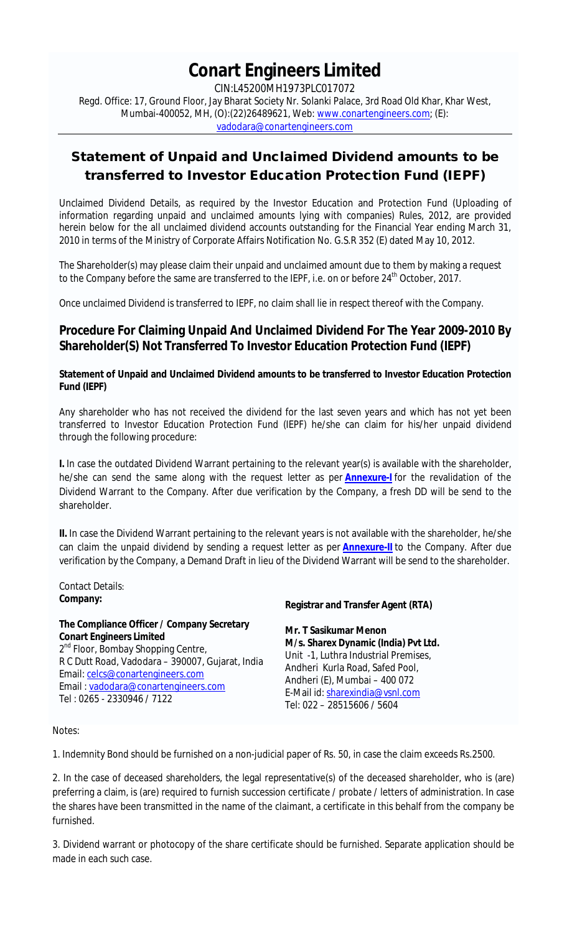# **Conart Engineers Limited**

CIN:L45200MH1973PLC017072 Regd. Office: 17, Ground Floor, Jay Bharat Society Nr. Solanki Palace, 3rd Road Old Khar, Khar West, Mumbai-400052, MH, (O):(22)26489621, Web: www.conartengineers.com; (E): vadodara@conartengineers.com

# **Statement of Unpaid and Unclaimed Dividend amounts to be transferred to Investor Education Protection Fund (IEPF)**

Unclaimed Dividend Details, as required by the Investor Education and Protection Fund (Uploading of information regarding unpaid and unclaimed amounts lying with companies) Rules, 2012, are provided herein below for the all unclaimed dividend accounts outstanding for the Financial Year ending March 31, 2010 in terms of the Ministry of Corporate Affairs Notification No. G.S.R 352 (E) dated May 10, 2012.

The Shareholder(s) may please claim their unpaid and unclaimed amount due to them by making a request to the Company before the same are transferred to the IEPF, i.e. on or before 24<sup>th</sup> October, 2017.

Once unclaimed Dividend is transferred to IEPF, no claim shall lie in respect thereof with the Company.

# **Procedure For Claiming Unpaid And Unclaimed Dividend For The Year 2009-2010 By Shareholder(S) Not Transferred To Investor Education Protection Fund (IEPF)**

# **Statement of Unpaid and Unclaimed Dividend amounts to be transferred to Investor Education Protection Fund (IEPF)**

Any shareholder who has not received the dividend for the last seven years and which has not yet been transferred to Investor Education Protection Fund (IEPF) he/she can claim for his/her unpaid dividend through the following procedure:

**I.** In case the outdated Dividend Warrant pertaining to the relevant year(s) is available with the shareholder, he/she can send the same along with the request letter as per **Annexure-I** for the revalidation of the Dividend Warrant to the Company. After due verification by the Company, a fresh DD will be send to the shareholder.

**II.** In case the Dividend Warrant pertaining to the relevant years is not available with the shareholder, he/she can claim the unpaid dividend by sending a request letter as per **Annexure-II** to the Company. After due verification by the Company, a Demand Draft in lieu of the Dividend Warrant will be send to the shareholder.

Contact Details: **Company:**

# **The Compliance Officer / Company Secretary Conart Engineers Limited**

2<sup>nd</sup> Floor, Bombay Shopping Centre, R C Dutt Road, Vadodara – 390007, Gujarat, India Email: celcs@conartengineers.com Email : vadodara@conartengineers.com Tel : 0265 - 2330946 / 7122

# **Registrar and Transfer Agent (RTA)**

**Mr. T Sasikumar Menon M/s. Sharex Dynamic (India) Pvt Ltd.** Unit -1, Luthra Industrial Premises, Andheri Kurla Road, Safed Pool, Andheri (E), Mumbai – 400 072 E-Mail id: sharexindia@vsnl.com Tel: 022 – 28515606 / 5604

Notes:

1. Indemnity Bond should be furnished on a non-judicial paper of Rs. 50, in case the claim exceeds Rs.2500.

2. In the case of deceased shareholders, the legal representative(s) of the deceased shareholder, who is (are) preferring a claim, is (are) required to furnish succession certificate / probate / letters of administration. In case the shares have been transmitted in the name of the claimant, a certificate in this behalf from the company be furnished.

3. Dividend warrant or photocopy of the share certificate should be furnished. Separate application should be made in each such case.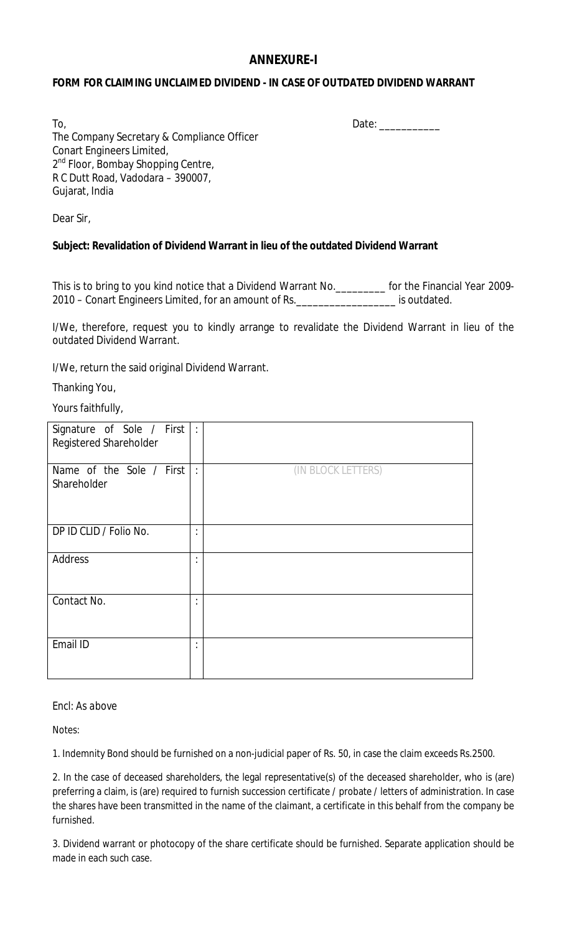# **ANNEXURE-I**

# **FORM FOR CLAIMING UNCLAIMED DIVIDEND - IN CASE OF OUTDATED DIVIDEND WARRANT**

To, the contract of the contract of the contract of the contract of the contract of the contract of the contract of the contract of the contract of the contract of the contract of the contract of the contract of the contra The Company Secretary & Compliance Officer Conart Engineers Limited, 2<sup>nd</sup> Floor, Bombay Shopping Centre, R C Dutt Road, Vadodara – 390007, Gujarat, India

Dear Sir,

# **Subject: Revalidation of Dividend Warrant in lieu of the outdated Dividend Warrant**

This is to bring to you kind notice that a Dividend Warrant No.\_\_\_\_\_\_\_\_\_ for the Financial Year 2009- 2010 – Conart Engineers Limited, for an amount of Rs.\_\_\_\_\_\_\_\_\_\_\_\_\_\_\_\_\_\_ is outdated.

I/We, therefore, request you to kindly arrange to revalidate the Dividend Warrant in lieu of the outdated Dividend Warrant.

I/We, return the said original Dividend Warrant.

Thanking You,

Yours faithfully,

| Signature of Sole / First   :<br>Registered Shareholder |                      |                    |
|---------------------------------------------------------|----------------------|--------------------|
| Name of the Sole / First $\vert$ :<br>Shareholder       |                      | (IN BLOCK LETTERS) |
| DP ID CLID / Folio No.                                  | $\bullet$<br>$\cdot$ |                    |
| Address                                                 | ٠<br>$\cdot$         |                    |
| Contact No.                                             | ٠<br>$\cdot$         |                    |
| Email ID                                                | $\bullet$<br>$\cdot$ |                    |

#### *Encl: As above*

Notes:

1. Indemnity Bond should be furnished on a non-judicial paper of Rs. 50, in case the claim exceeds Rs.2500.

2. In the case of deceased shareholders, the legal representative(s) of the deceased shareholder, who is (are) preferring a claim, is (are) required to furnish succession certificate / probate / letters of administration. In case the shares have been transmitted in the name of the claimant, a certificate in this behalf from the company be furnished.

3. Dividend warrant or photocopy of the share certificate should be furnished. Separate application should be made in each such case.